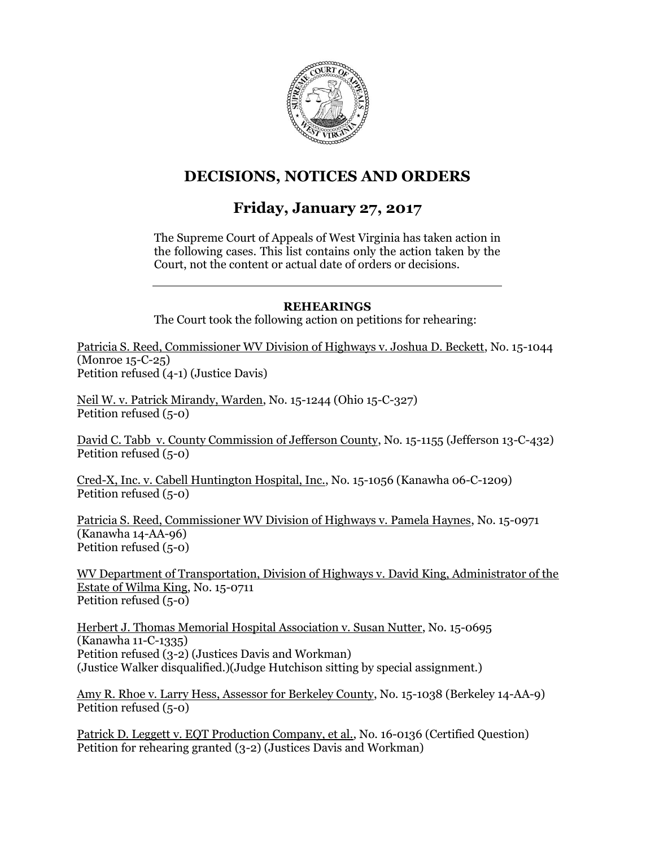

# **DECISIONS, NOTICES AND ORDERS**

# **Friday, January 27, 2017**

The Supreme Court of Appeals of West Virginia has taken action in the following cases. This list contains only the action taken by the Court, not the content or actual date of orders or decisions.

### **REHEARINGS**

The Court took the following action on petitions for rehearing:

Patricia S. Reed, Commissioner WV Division of Highways v. Joshua D. Beckett, No. 15-1044 (Monroe 15-C-25) Petition refused (4-1) (Justice Davis)

Neil W. v. Patrick Mirandy, Warden, No. 15-1244 (Ohio 15-C-327) Petition refused (5-0)

David C. Tabb v. County Commission of Jefferson County, No. 15-1155 (Jefferson 13-C-432) Petition refused (5-0)

Cred-X, Inc. v. Cabell Huntington Hospital, Inc., No. 15-1056 (Kanawha 06-C-1209) Petition refused (5-0)

Patricia S. Reed, Commissioner WV Division of Highways v. Pamela Haynes, No. 15-0971 (Kanawha 14-AA-96) Petition refused (5-0)

WV Department of Transportation, Division of Highways v. David King, Administrator of the Estate of Wilma King, No. 15-0711 Petition refused (5-0)

Herbert J. Thomas Memorial Hospital Association v. Susan Nutter, No. 15-0695 (Kanawha 11-C-1335) Petition refused (3-2) (Justices Davis and Workman) (Justice Walker disqualified.)(Judge Hutchison sitting by special assignment.)

Amy R. Rhoe v. Larry Hess, Assessor for Berkeley County, No. 15-1038 (Berkeley 14-AA-9) Petition refused (5-0)

Patrick D. Leggett v. EQT Production Company, et al., No. 16-0136 (Certified Question) Petition for rehearing granted (3-2) (Justices Davis and Workman)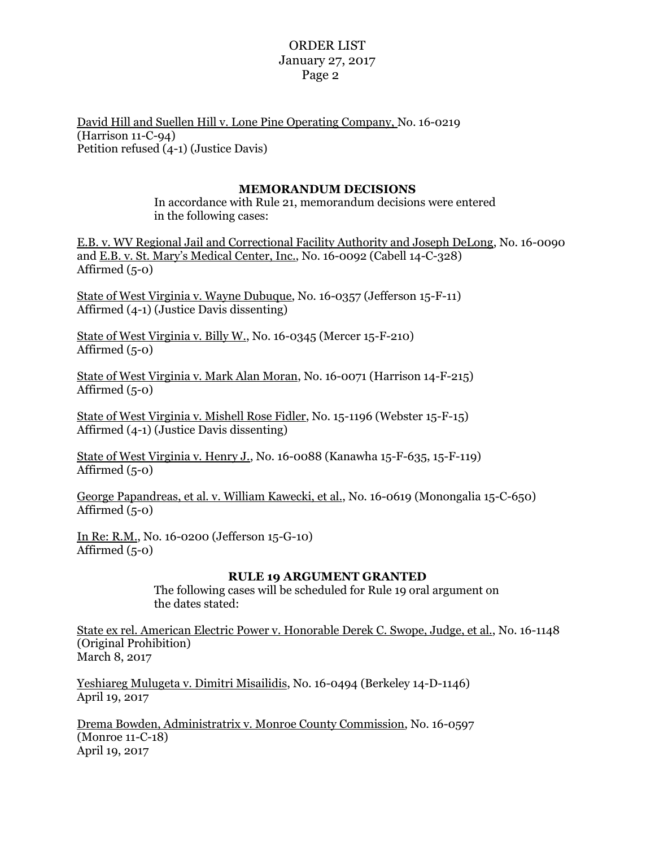### ORDER LIST January 27, 2017 Page 2

David Hill and Suellen Hill v. Lone Pine Operating Company, No. 16-0219 (Harrison 11-C-94) Petition refused (4-1) (Justice Davis)

#### **MEMORANDUM DECISIONS**

In accordance with Rule 21, memorandum decisions were entered in the following cases:

E.B. v. WV Regional Jail and Correctional Facility Authority and Joseph DeLong, No. 16-0090 and E.B. v. St. Mary's Medical Center, Inc., No. 16-0092 (Cabell 14-C-328) Affirmed (5-0)

State of West Virginia v. Wayne Dubuque, No. 16-0357 (Jefferson 15-F-11) Affirmed (4-1) (Justice Davis dissenting)

State of West Virginia v. Billy W., No. 16-0345 (Mercer 15-F-210) Affirmed (5-0)

State of West Virginia v. Mark Alan Moran, No. 16-0071 (Harrison 14-F-215) Affirmed  $(5-0)$ 

State of West Virginia v. Mishell Rose Fidler, No. 15-1196 (Webster 15-F-15) Affirmed (4-1) (Justice Davis dissenting)

State of West Virginia v. Henry J., No. 16-0088 (Kanawha 15-F-635, 15-F-119) Affirmed (5-0)

George Papandreas, et al. v. William Kawecki, et al., No. 16-0619 (Monongalia 15-C-650) Affirmed  $(5-0)$ 

In Re: R.M., No. 16-0200 (Jefferson 15-G-10) Affirmed  $(5-0)$ 

#### **RULE 19 ARGUMENT GRANTED**

The following cases will be scheduled for Rule 19 oral argument on the dates stated:

State ex rel. American Electric Power v. Honorable Derek C. Swope, Judge, et al., No. 16-1148 (Original Prohibition) March 8, 2017

Yeshiareg Mulugeta v. Dimitri Misailidis, No. 16-0494 (Berkeley 14-D-1146) April 19, 2017

Drema Bowden, Administratrix v. Monroe County Commission, No. 16-0597 (Monroe 11-C-18) April 19, 2017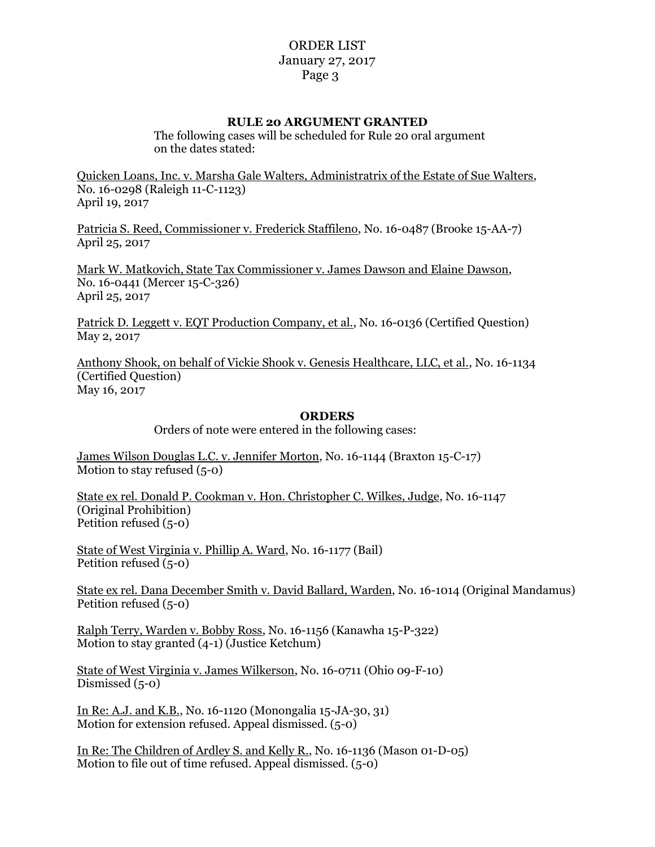## ORDER LIST January 27, 2017 Page 3

#### **RULE 20 ARGUMENT GRANTED**

The following cases will be scheduled for Rule 20 oral argument on the dates stated:

Quicken Loans, Inc. v. Marsha Gale Walters, Administratrix of the Estate of Sue Walters, No. 16-0298 (Raleigh 11-C-1123) April 19, 2017

Patricia S. Reed, Commissioner v. Frederick Staffileno, No. 16-0487 (Brooke 15-AA-7) April 25, 2017

Mark W. Matkovich, State Tax Commissioner v. James Dawson and Elaine Dawson, No. 16-0441 (Mercer 15-C-326) April 25, 2017

Patrick D. Leggett v. EQT Production Company, et al., No. 16-0136 (Certified Question) May 2, 2017

Anthony Shook, on behalf of Vickie Shook v. Genesis Healthcare, LLC, et al., No. 16-1134 (Certified Question) May 16, 2017

#### **ORDERS**

Orders of note were entered in the following cases:

James Wilson Douglas L.C. v. Jennifer Morton, No. 16-1144 (Braxton 15-C-17) Motion to stay refused (5-0)

State ex rel. Donald P. Cookman v. Hon. Christopher C. Wilkes, Judge, No. 16-1147 (Original Prohibition) Petition refused (5-0)

State of West Virginia v. Phillip A. Ward, No. 16-1177 (Bail) Petition refused (5-0)

State ex rel. Dana December Smith v. David Ballard, Warden, No. 16-1014 (Original Mandamus) Petition refused (5-0)

Ralph Terry, Warden v. Bobby Ross, No. 16-1156 (Kanawha 15-P-322) Motion to stay granted (4-1) (Justice Ketchum)

State of West Virginia v. James Wilkerson, No. 16-0711 (Ohio 09-F-10) Dismissed (5-0)

In Re: A.J. and K.B., No. 16-1120 (Monongalia 15-JA-30, 31) Motion for extension refused. Appeal dismissed. (5-0)

In Re: The Children of Ardley S. and Kelly R., No. 16-1136 (Mason 01-D-05) Motion to file out of time refused. Appeal dismissed. (5-0)